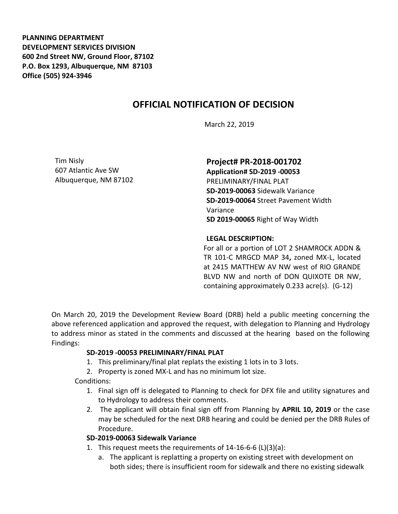**PLANNING DEPARTMENT DEVELOPMENT SERVICES DIVISION 600 2nd Street NW, Ground Floor, 87102 P.O. Box 1293, Albuquerque, NM 87103 Office (505) 924-3946** 

# **OFFICIAL NOTIFICATION OF DECISION**

March 22, 2019

Tim Nisly 607 Atlantic Ave SW Albuquerque, NM 87102

### **Project# PR-2018-001702**

**Application# SD-2019 -00053** PRELIMINARY/FINAL PLAT **SD-2019-00063** Sidewalk Variance **SD-2019-00064** Street Pavement Width Variance **SD 2019-00065** Right of Way Width

#### **LEGAL DESCRIPTION:**

For all or a portion of LOT 2 SHAMROCK ADDN & TR 101-C MRGCD MAP 34**,** zoned MX-L, located at 2415 MATTHEW AV NW west of RIO GRANDE BLVD NW and north of DON QUIXOTE DR NW, containing approximately 0.233 acre(s). (G-12)

On March 20, 2019 the Development Review Board (DRB) held a public meeting concerning the above referenced application and approved the request, with delegation to Planning and Hydrology to address minor as stated in the comments and discussed at the hearing based on the following Findings:

#### **SD-2019 -00053 PRELIMINARY/FINAL PLAT**

- 1. This preliminary/final plat replats the existing 1 lots in to 3 lots.
- 2. Property is zoned MX-L and has no minimum lot size.

Conditions:

- 1. Final sign off is delegated to Planning to check for DFX file and utility signatures and to Hydrology to address their comments.
- 2. The applicant will obtain final sign off from Planning by **APRIL 10, 2019** or the case may be scheduled for the next DRB hearing and could be denied per the DRB Rules of Procedure.

# **SD-2019-00063 Sidewalk Variance**

- 1. This request meets the requirements of 14-16-6-6 (L)(3)(a):
	- a. The applicant is replatting a property on existing street with development on both sides; there is insufficient room for sidewalk and there no existing sidewalk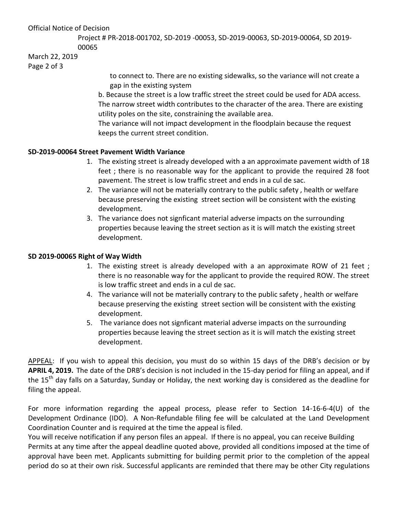### Official Notice of Decision

Project # PR-2018-001702, SD-2019 -00053, SD-2019-00063, SD-2019-00064, SD 2019- 00065

## March 22, 2019

Page 2 of 3

to connect to. There are no existing sidewalks, so the variance will not create a gap in the existing system

b. Because the street is a low traffic street the street could be used for ADA access. The narrow street width contributes to the character of the area. There are existing utility poles on the site, constraining the available area.

The variance will not impact development in the floodplain because the request keeps the current street condition.

### **SD-2019-00064 Street Pavement Width Variance**

- 1. The existing street is already developed with a an approximate pavement width of 18 feet ; there is no reasonable way for the applicant to provide the required 28 foot pavement. The street is low traffic street and ends in a cul de sac.
- 2. The variance will not be materially contrary to the public safety , health or welfare because preserving the existing street section will be consistent with the existing development.
- 3. The variance does not signficant material adverse impacts on the surrounding properties because leaving the street section as it is will match the existing street development.

## **SD 2019-00065 Right of Way Width**

- 1. The existing street is already developed with a an approximate ROW of 21 feet ; there is no reasonable way for the applicant to provide the required ROW. The street is low traffic street and ends in a cul de sac.
- 4. The variance will not be materially contrary to the public safety , health or welfare because preserving the existing street section will be consistent with the existing development.
- 5. The variance does not signficant material adverse impacts on the surrounding properties because leaving the street section as it is will match the existing street development.

APPEAL: If you wish to appeal this decision, you must do so within 15 days of the DRB's decision or by **APRIL 4, 2019.** The date of the DRB's decision is not included in the 15-day period for filing an appeal, and if the 15<sup>th</sup> day falls on a Saturday, Sunday or Holiday, the next working day is considered as the deadline for filing the appeal.

For more information regarding the appeal process, please refer to Section 14-16-6-4(U) of the Development Ordinance (IDO). A Non-Refundable filing fee will be calculated at the Land Development Coordination Counter and is required at the time the appeal is filed.

You will receive notification if any person files an appeal. If there is no appeal, you can receive Building Permits at any time after the appeal deadline quoted above, provided all conditions imposed at the time of approval have been met. Applicants submitting for building permit prior to the completion of the appeal period do so at their own risk. Successful applicants are reminded that there may be other City regulations